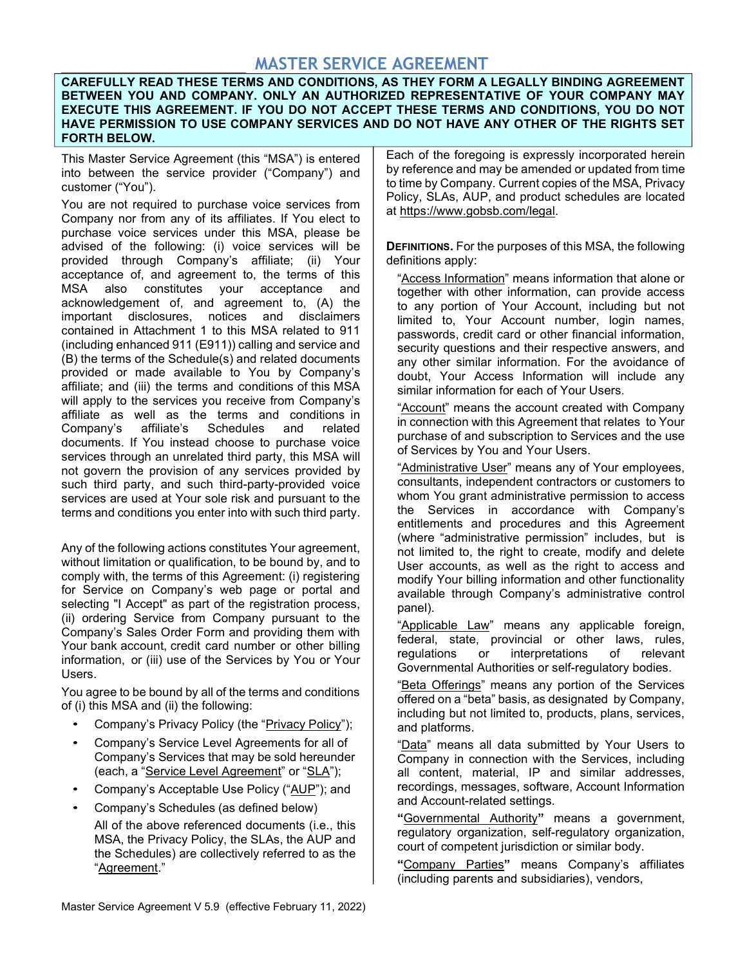# MASTER SERVICE AGREEMENT

### CAREFULLY READ THESE TERMS AND CONDITIONS, AS THEY FORM A LEGALLY BINDING AGREEMENT BETWEEN YOU AND COMPANY. ONLY AN AUTHORIZED REPRESENTATIVE OF YOUR COMPANY MAY EXECUTE THIS AGREEMENT. IF YOU DO NOT ACCEPT THESE TERMS AND CONDITIONS, YOU DO NOT HAVE PERMISSION TO USE COMPANY SERVICES AND DO NOT HAVE ANY OTHER OF THE RIGHTS SET FORTH BELOW.

This Master Service Agreement (this "MSA") is entered into between the service provider ("Company") and customer ("You").

You are not required to purchase voice services from Company nor from any of its affiliates. If You elect to purchase voice services under this MSA, please be advised of the following: (i) voice services will be provided through Company's affiliate; (ii) Your acceptance of, and agreement to, the terms of this MSA also constitutes your acceptance and acknowledgement of, and agreement to, (A) the important disclosures, notices and disclaimers contained in Attachment 1 to this MSA related to 911 (including enhanced 911 (E911)) calling and service and (B) the terms of the Schedule(s) and related documents provided or made available to You by Company's affiliate; and (iii) the terms and conditions of this MSA will apply to the services you receive from Company's affiliate as well as the terms and conditions in Company's affiliate's Schedules and related documents. If You instead choose to purchase voice services through an unrelated third party, this MSA will not govern the provision of any services provided by such third party, and such third-party-provided voice services are used at Your sole risk and pursuant to the terms and conditions you enter into with such third party.

Any of the following actions constitutes Your agreement, without limitation or qualification, to be bound by, and to comply with, the terms of this Agreement: (i) registering for Service on Company's web page or portal and selecting "I Accept" as part of the registration process, (ii) ordering Service from Company pursuant to the Company's Sales Order Form and providing them with Your bank account, credit card number or other billing information, or (iii) use of the Services by You or Your Users.

You agree to be bound by all of the terms and conditions of (i) this MSA and (ii) the following:

- Company's Privacy Policy (the "Privacy Policy");
- Company's Service Level Agreements for all of Company's Services that may be sold hereunder (each, a "Service Level Agreement" or "SLA");
- Company's Acceptable Use Policy ("AUP"); and
- Company's Schedules (as defined below) All of the above referenced documents (i.e., this MSA, the Privacy Policy, the SLAs, the AUP and the Schedules) are collectively referred to as the "Agreement."

Each of the foregoing is expressly incorporated herein by reference and may be amended or updated from time to time by Company. Current copies of the MSA, Privacy Policy, SLAs, AUP, and product schedules are located at https://www.gobsb.com/legal.

DEFINITIONS. For the purposes of this MSA, the following definitions apply:

"Access Information" means information that alone or together with other information, can provide access to any portion of Your Account, including but not limited to, Your Account number, login names, passwords, credit card or other financial information, security questions and their respective answers, and any other similar information. For the avoidance of doubt, Your Access Information will include any similar information for each of Your Users.

"Account" means the account created with Company in connection with this Agreement that relates to Your purchase of and subscription to Services and the use of Services by You and Your Users.

"Administrative User" means any of Your employees, consultants, independent contractors or customers to whom You grant administrative permission to access the Services in accordance with Company's entitlements and procedures and this Agreement (where "administrative permission" includes, but is not limited to, the right to create, modify and delete User accounts, as well as the right to access and modify Your billing information and other functionality available through Company's administrative control panel).

"Applicable Law" means any applicable foreign, federal, state, provincial or other laws, rules. regulations or interpretations of relevant Governmental Authorities or self-regulatory bodies.

"Beta Offerings" means any portion of the Services offered on a "beta" basis, as designated by Company, including but not limited to, products, plans, services, and platforms.

"Data" means all data submitted by Your Users to Company in connection with the Services, including all content, material, IP and similar addresses, recordings, messages, software, Account Information and Account-related settings.

"Governmental Authority" means a government, regulatory organization, self-regulatory organization, court of competent jurisdiction or similar body.

"Company Parties" means Company's affiliates (including parents and subsidiaries), vendors,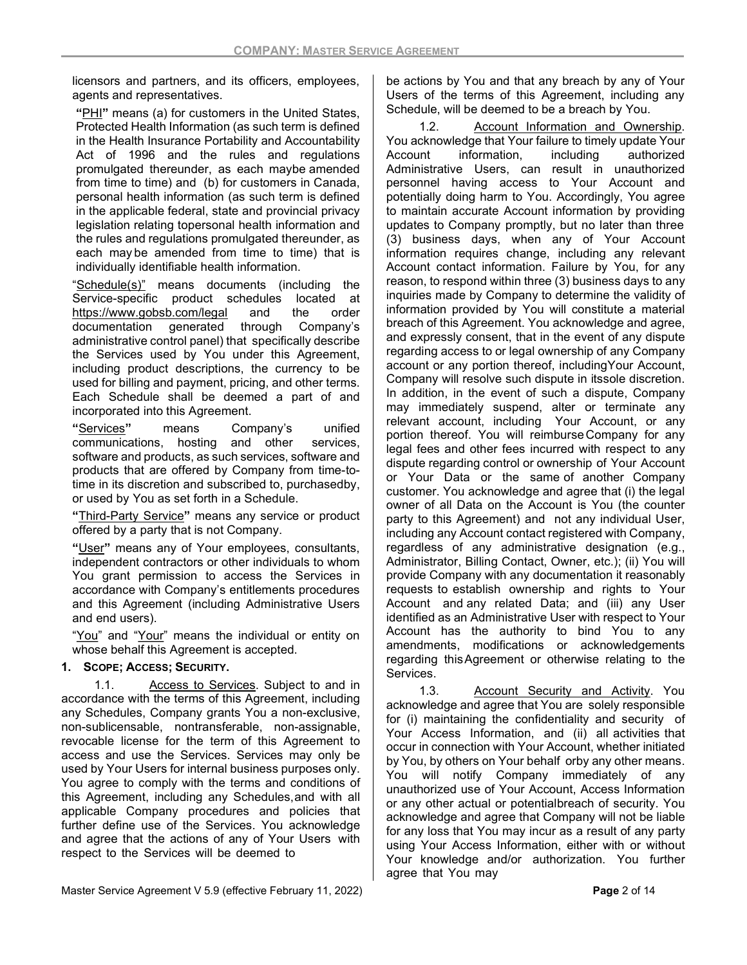licensors and partners, and its officers, employees, agents and representatives.

"PHI" means (a) for customers in the United States, Protected Health Information (as such term is defined in the Health Insurance Portability and Accountability Act of 1996 and the rules and regulations promulgated thereunder, as each maybe amended from time to time) and (b) for customers in Canada, personal health information (as such term is defined in the applicable federal, state and provincial privacy legislation relating to personal health information and the rules and regulations promulgated thereunder, as each may be amended from time to time) that is individually identifiable health information.

"Schedule(s)" means documents (including the Service-specific product schedules located at https://www.gobsb.com/legal and the order documentation generated through Company's administrative control panel) that specifically describe the Services used by You under this Agreement, including product descriptions, the currency to be used for billing and payment, pricing, and other terms. Each Schedule shall be deemed a part of and incorporated into this Agreement.

"Services" means Company's unified communications, hosting and other services, software and products, as such services, software and products that are offered by Company from time-totime in its discretion and subscribed to, purchasedby, or used by You as set forth in a Schedule.

"Third-Party Service" means any service or product offered by a party that is not Company.

"User" means any of Your employees, consultants, independent contractors or other individuals to whom You grant permission to access the Services in accordance with Company's entitlements procedures and this Agreement (including Administrative Users and end users).

"You" and "Your" means the individual or entity on whose behalf this Agreement is accepted.

# 1. SCOPE; ACCESS; SECURITY.

1.1. Access to Services. Subject to and in accordance with the terms of this Agreement, including any Schedules, Company grants You a non-exclusive, non-sublicensable, nontransferable, non-assignable, revocable license for the term of this Agreement to access and use the Services. Services may only be used by Your Users for internal business purposes only. You agree to comply with the terms and conditions of this Agreement, including any Schedules, and with all applicable Company procedures and policies that further define use of the Services. You acknowledge and agree that the actions of any of Your Users with respect to the Services will be deemed to

be actions by You and that any breach by any of Your Users of the terms of this Agreement, including any Schedule, will be deemed to be a breach by You.

1.2. Account Information and Ownership. You acknowledge that Your failure to timely update Your Account information, including authorized Administrative Users, can result in unauthorized personnel having access to Your Account and potentially doing harm to You. Accordingly, You agree to maintain accurate Account information by providing updates to Company promptly, but no later than three (3) business days, when any of Your Account information requires change, including any relevant Account contact information. Failure by You, for any reason, to respond within three (3) business days to any inquiries made by Company to determine the validity of information provided by You will constitute a material breach of this Agreement. You acknowledge and agree, and expressly consent, that in the event of any dispute regarding access to or legal ownership of any Company account or any portion thereof, including Your Account, Company will resolve such dispute in its sole discretion. In addition, in the event of such a dispute, Company may immediately suspend, alter or terminate any relevant account, including Your Account, or any portion thereof. You will reimburse Company for any legal fees and other fees incurred with respect to any dispute regarding control or ownership of Your Account or Your Data or the same of another Company customer. You acknowledge and agree that (i) the legal owner of all Data on the Account is You (the counter party to this Agreement) and not any individual User, including any Account contact registered with Company, regardless of any administrative designation (e.g., Administrator, Billing Contact, Owner, etc.); (ii) You will provide Company with any documentation it reasonably requests to establish ownership and rights to Your Account and any related Data; and (iii) any User identified as an Administrative User with respect to Your Account has the authority to bind You to any amendments, modifications or acknowledgements regarding this Agreement or otherwise relating to the **Services** 

1.3. Account Security and Activity. You acknowledge and agree that You are solely responsible for (i) maintaining the confidentiality and security of Your Access Information, and (ii) all activities that occur in connection with Your Account, whether initiated by You, by others on Your behalf orby any other means. You will notify Company immediately of any unauthorized use of Your Account, Access Information or any other actual or potential breach of security. You acknowledge and agree that Company will not be liable for any loss that You may incur as a result of any party using Your Access Information, either with or without Your knowledge and/or authorization. You further agree that You may

Master Service Agreement V 5.9 (effective February 11, 2022) Charles Controller Master Service Agreement V 5.9 (effective February 11, 2022)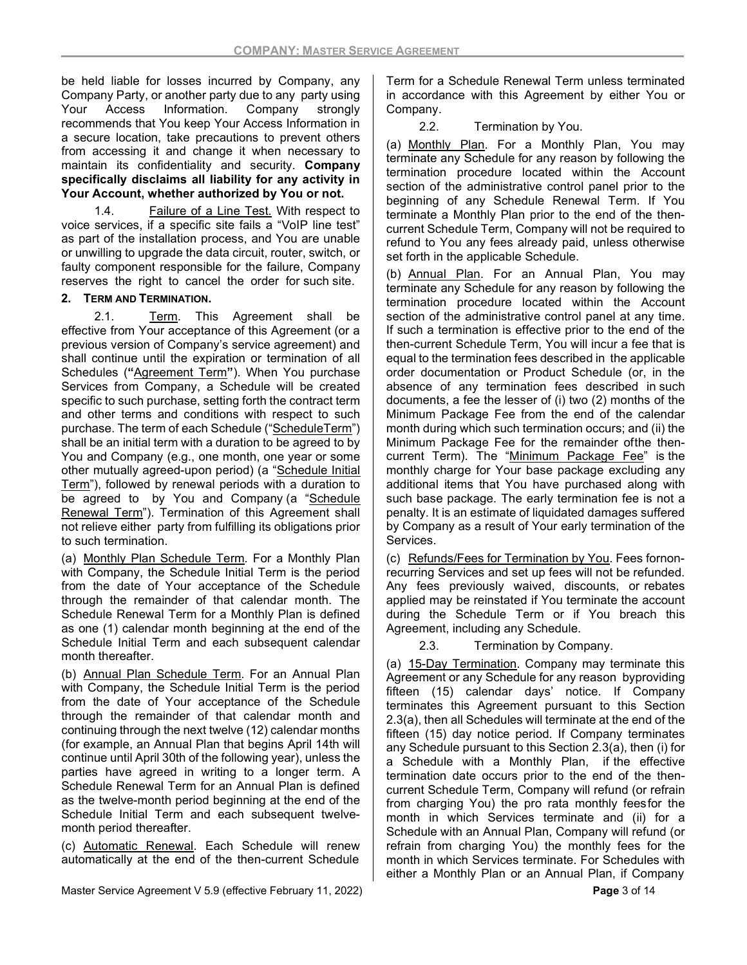be held liable for losses incurred by Company, any Company Party, or another party due to any party using Your Access Information. Company strongly recommends that You keep Your Access Information in a secure location, take precautions to prevent others from accessing it and change it when necessary to maintain its confidentiality and security. Company specifically disclaims all liability for any activity in Your Account, whether authorized by You or not.

1.4. Failure of a Line Test. With respect to voice services, if a specific site fails a "VoIP line test" as part of the installation process, and You are unable or unwilling to upgrade the data circuit, router, switch, or faulty component responsible for the failure, Company reserves the right to cancel the order for such site.

# 2. TERM AND TERMINATION.

2.1. Term. This Agreement shall be effective from Your acceptance of this Agreement (or a previous version of Company's service agreement) and shall continue until the expiration or termination of all Schedules ("Agreement Term"). When You purchase Services from Company, a Schedule will be created specific to such purchase, setting forth the contract term and other terms and conditions with respect to such purchase. The term of each Schedule ("Schedule Term") shall be an initial term with a duration to be agreed to by You and Company (e.g., one month, one year or some other mutually agreed-upon period) (a "Schedule Initial Term"), followed by renewal periods with a duration to be agreed to by You and Company (a "Schedule Renewal Term"). Termination of this Agreement shall not relieve either party from fulfilling its obligations prior to such termination.

(a) Monthly Plan Schedule Term. For a Monthly Plan with Company, the Schedule Initial Term is the period from the date of Your acceptance of the Schedule through the remainder of that calendar month. The Schedule Renewal Term for a Monthly Plan is defined as one (1) calendar month beginning at the end of the Schedule Initial Term and each subsequent calendar month thereafter.

(b) Annual Plan Schedule Term. For an Annual Plan with Company, the Schedule Initial Term is the period from the date of Your acceptance of the Schedule through the remainder of that calendar month and continuing through the next twelve (12) calendar months (for example, an Annual Plan that begins April 14th will continue until April 30th of the following year), unless the parties have agreed in writing to a longer term. A Schedule Renewal Term for an Annual Plan is defined as the twelve-month period beginning at the end of the Schedule Initial Term and each subsequent twelvemonth period thereafter.

(c) Automatic Renewal. Each Schedule will renew automatically at the end of the then-current Schedule

Master Service Agreement V 5.9 (effective February 11, 2022) **Page 3 of 14** Page 3 of 14

Term for a Schedule Renewal Term unless terminated in accordance with this Agreement by either You or Company.

2.2. Termination by You.

(a) Monthly Plan. For a Monthly Plan, You may terminate any Schedule for any reason by following the termination procedure located within the Account section of the administrative control panel prior to the beginning of any Schedule Renewal Term. If You terminate a Monthly Plan prior to the end of the thencurrent Schedule Term, Company will not be required to refund to You any fees already paid, unless otherwise set forth in the applicable Schedule.

(b) Annual Plan. For an Annual Plan, You may terminate any Schedule for any reason by following the termination procedure located within the Account section of the administrative control panel at any time. If such a termination is effective prior to the end of the then-current Schedule Term, You will incur a fee that is equal to the termination fees described in the applicable order documentation or Product Schedule (or, in the absence of any termination fees described in such documents, a fee the lesser of (i) two (2) months of the Minimum Package Fee from the end of the calendar month during which such termination occurs; and (ii) the Minimum Package Fee for the remainder of the thencurrent Term). The "Minimum Package Fee" is the monthly charge for Your base package excluding any additional items that You have purchased along with such base package. The early termination fee is not a penalty. It is an estimate of liquidated damages suffered by Company as a result of Your early termination of the Services.

(c) Refunds/Fees for Termination by You. Fees fornonrecurring Services and set up fees will not be refunded. Any fees previously waived, discounts, or rebates applied may be reinstated if You terminate the account during the Schedule Term or if You breach this Agreement, including any Schedule.

2.3. Termination by Company.

(a) 15-Day Termination. Company may terminate this Agreement or any Schedule for any reason byproviding fifteen (15) calendar days' notice. If Company terminates this Agreement pursuant to this Section 2.3(a), then all Schedules will terminate at the end of the fifteen (15) day notice period. If Company terminates any Schedule pursuant to this Section 2.3(a), then (i) for a Schedule with a Monthly Plan, if the effective termination date occurs prior to the end of the thencurrent Schedule Term, Company will refund (or refrain from charging You) the pro rata monthly fees for the month in which Services terminate and (ii) for a Schedule with an Annual Plan, Company will refund (or refrain from charging You) the monthly fees for the month in which Services terminate. For Schedules with either a Monthly Plan or an Annual Plan, if Company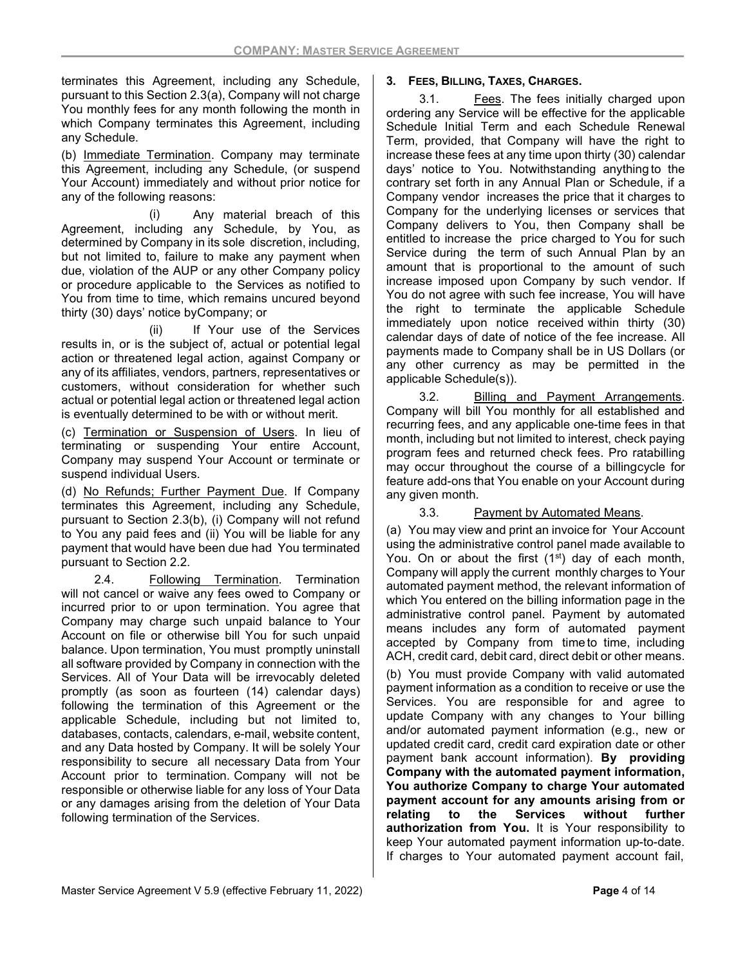terminates this Agreement, including any Schedule, pursuant to this Section 2.3(a), Company will not charge You monthly fees for any month following the month in which Company terminates this Agreement, including any Schedule.

(b) Immediate Termination. Company may terminate this Agreement, including any Schedule, (or suspend Your Account) immediately and without prior notice for any of the following reasons:

(i) Any material breach of this Agreement, including any Schedule, by You, as determined by Company in its sole discretion, including, but not limited to, failure to make any payment when due, violation of the AUP or any other Company policy or procedure applicable to the Services as notified to You from time to time, which remains uncured beyond thirty (30) days' notice by Company; or

(ii) If Your use of the Services results in, or is the subject of, actual or potential legal action or threatened legal action, against Company or any of its affiliates, vendors, partners, representatives or customers, without consideration for whether such actual or potential legal action or threatened legal action is eventually determined to be with or without merit.

(c) Termination or Suspension of Users. In lieu of terminating or suspending Your entire Account, Company may suspend Your Account or terminate or suspend individual Users.

(d) No Refunds; Further Payment Due. If Company terminates this Agreement, including any Schedule, pursuant to Section 2.3(b), (i) Company will not refund to You any paid fees and (ii) You will be liable for any payment that would have been due had You terminated pursuant to Section 2.2.

2.4. Following Termination. Termination will not cancel or waive any fees owed to Company or incurred prior to or upon termination. You agree that Company may charge such unpaid balance to Your Account on file or otherwise bill You for such unpaid balance. Upon termination, You must promptly uninstall all software provided by Company in connection with the Services. All of Your Data will be irrevocably deleted promptly (as soon as fourteen (14) calendar days) following the termination of this Agreement or the applicable Schedule, including but not limited to, databases, contacts, calendars, e-mail, website content, and any Data hosted by Company. It will be solely Your responsibility to secure all necessary Data from Your Account prior to termination. Company will not be responsible or otherwise liable for any loss of Your Data or any damages arising from the deletion of Your Data following termination of the Services.

# 3. FEES, BILLING, TAXES, CHARGES.

3.1. Fees. The fees initially charged upon ordering any Service will be effective for the applicable Schedule Initial Term and each Schedule Renewal Term, provided, that Company will have the right to increase these fees at any time upon thirty (30) calendar days' notice to You. Notwithstanding anything to the contrary set forth in any Annual Plan or Schedule, if a Company vendor increases the price that it charges to Company for the underlying licenses or services that Company delivers to You, then Company shall be entitled to increase the price charged to You for such Service during the term of such Annual Plan by an amount that is proportional to the amount of such increase imposed upon Company by such vendor. If You do not agree with such fee increase, You will have the right to terminate the applicable Schedule immediately upon notice received within thirty (30) calendar days of date of notice of the fee increase. All payments made to Company shall be in US Dollars (or any other currency as may be permitted in the applicable Schedule(s)).

3.2. Billing and Payment Arrangements. Company will bill You monthly for all established and recurring fees, and any applicable one-time fees in that month, including but not limited to interest, check paying program fees and returned check fees. Pro ratabilling may occur throughout the course of a billing cycle for feature add-ons that You enable on your Account during any given month.

# 3.3. Payment by Automated Means.

(a) You may view and print an invoice for Your Account using the administrative control panel made available to You. On or about the first  $(1<sup>st</sup>)$  day of each month, Company will apply the current monthly charges to Your automated payment method, the relevant information of which You entered on the billing information page in the administrative control panel. Payment by automated means includes any form of automated payment accepted by Company from time to time, including ACH, credit card, debit card, direct debit or other means.

(b) You must provide Company with valid automated payment information as a condition to receive or use the Services. You are responsible for and agree to update Company with any changes to Your billing and/or automated payment information (e.g., new or updated credit card, credit card expiration date or other payment bank account information). By providing Company with the automated payment information, You authorize Company to charge Your automated payment account for any amounts arising from or relating to the Services without further authorization from You. It is Your responsibility to keep Your automated payment information up-to-date. If charges to Your automated payment account fail,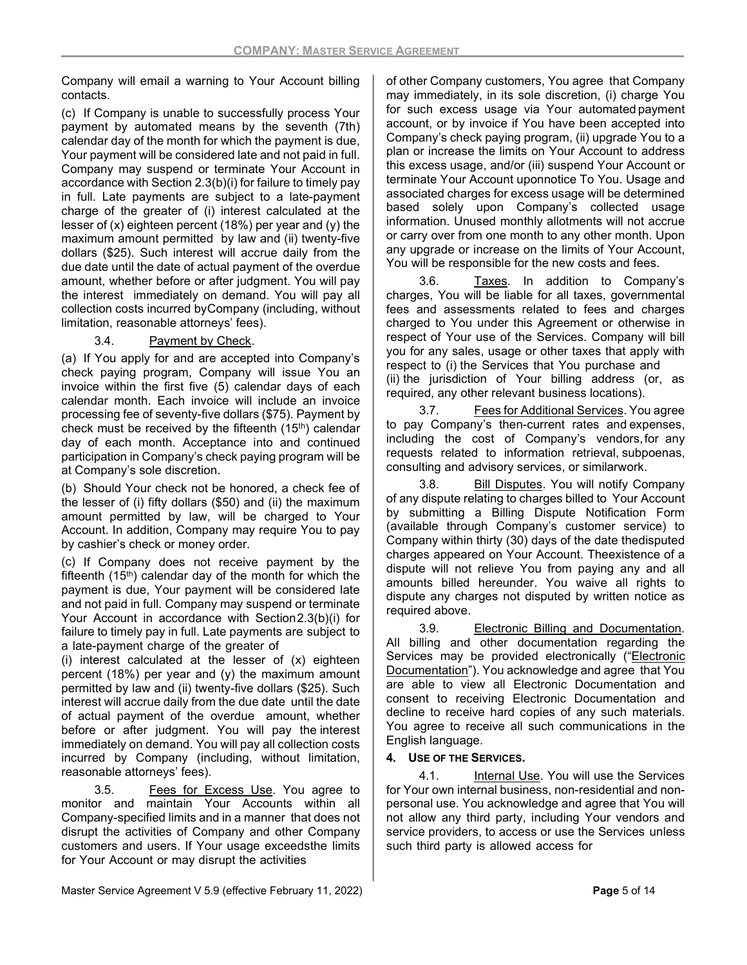Company will email a warning to Your Account billing contacts.

(c) If Company is unable to successfully process Your payment by automated means by the seventh (7th) calendar day of the month for which the payment is due, Your payment will be considered late and not paid in full. Company may suspend or terminate Your Account in accordance with Section 2.3(b)(i) for failure to timely pay in full. Late payments are subject to a late-payment charge of the greater of (i) interest calculated at the lesser of (x) eighteen percent (18%) per year and (y) the maximum amount permitted by law and (ii) twenty-five dollars (\$25). Such interest will accrue daily from the due date until the date of actual payment of the overdue amount, whether before or after judgment. You will pay the interest immediately on demand. You will pay all collection costs incurred by Company (including, without limitation, reasonable attorneys' fees).

# 3.4. Payment by Check.

(a) If You apply for and are accepted into Company's check paying program, Company will issue You an invoice within the first five (5) calendar days of each calendar month. Each invoice will include an invoice processing fee of seventy-five dollars (\$75). Payment by check must be received by the fifteenth  $(15<sup>th</sup>)$  calendar day of each month. Acceptance into and continued participation in Company's check paying program will be at Company's sole discretion.

(b) Should Your check not be honored, a check fee of the lesser of (i) fifty dollars (\$50) and (ii) the maximum amount permitted by law, will be charged to Your Account. In addition, Company may require You to pay by cashier's check or money order.

(c) If Company does not receive payment by the fifteenth  $(15<sup>th</sup>)$  calendar day of the month for which the payment is due, Your payment will be considered late and not paid in full. Company may suspend or terminate Your Account in accordance with Section 2.3(b)(i) for failure to timely pay in full. Late payments are subject to a late-payment charge of the greater of

(i) interest calculated at the lesser of (x) eighteen percent (18%) per year and (y) the maximum amount permitted by law and (ii) twenty-five dollars (\$25). Such interest will accrue daily from the due date until the date of actual payment of the overdue amount, whether before or after judgment. You will pay the interest immediately on demand. You will pay all collection costs incurred by Company (including, without limitation, reasonable attorneys' fees).

3.5. Fees for Excess Use. You agree to monitor and maintain Your Accounts within all Company-specified limits and in a manner that does not disrupt the activities of Company and other Company customers and users. If Your usage exceeds the limits for Your Account or may disrupt the activities

of other Company customers, You agree that Company may immediately, in its sole discretion, (i) charge You for such excess usage via Your automated payment account, or by invoice if You have been accepted into Company's check paying program, (ii) upgrade You to a plan or increase the limits on Your Account to address this excess usage, and/or (iii) suspend Your Account or terminate Your Account uponnotice To You. Usage and associated charges for excess usage will be determined based solely upon Company's collected usage information. Unused monthly allotments will not accrue or carry over from one month to any other month. Upon any upgrade or increase on the limits of Your Account, You will be responsible for the new costs and fees.

3.6. Taxes. In addition to Company's charges, You will be liable for all taxes, governmental fees and assessments related to fees and charges charged to You under this Agreement or otherwise in respect of Your use of the Services. Company will bill you for any sales, usage or other taxes that apply with respect to (i) the Services that You purchase and (ii) the jurisdiction of Your billing address (or, as required, any other relevant business locations).

3.7. Fees for Additional Services. You agree to pay Company's then-current rates and expenses, including the cost of Company's vendors, for any requests related to information retrieval, subpoenas, consulting and advisory services, or similar work.

3.8. Bill Disputes. You will notify Company of any dispute relating to charges billed to Your Account by submitting a Billing Dispute Notification Form (available through Company's customer service) to Company within thirty (30) days of the date the disputed charges appeared on Your Account. The existence of a dispute will not relieve You from paying any and all amounts billed hereunder. You waive all rights to dispute any charges not disputed by written notice as required above.

3.9. Electronic Billing and Documentation. All billing and other documentation regarding the Services may be provided electronically ("Electronic Documentation"). You acknowledge and agree that You are able to view all Electronic Documentation and consent to receiving Electronic Documentation and decline to receive hard copies of any such materials. You agree to receive all such communications in the English language.

### 4. USE OF THE SERVICES.

4.1. Internal Use. You will use the Services for Your own internal business, non-residential and nonpersonal use. You acknowledge and agree that You will not allow any third party, including Your vendors and service providers, to access or use the Services unless such third party is allowed access for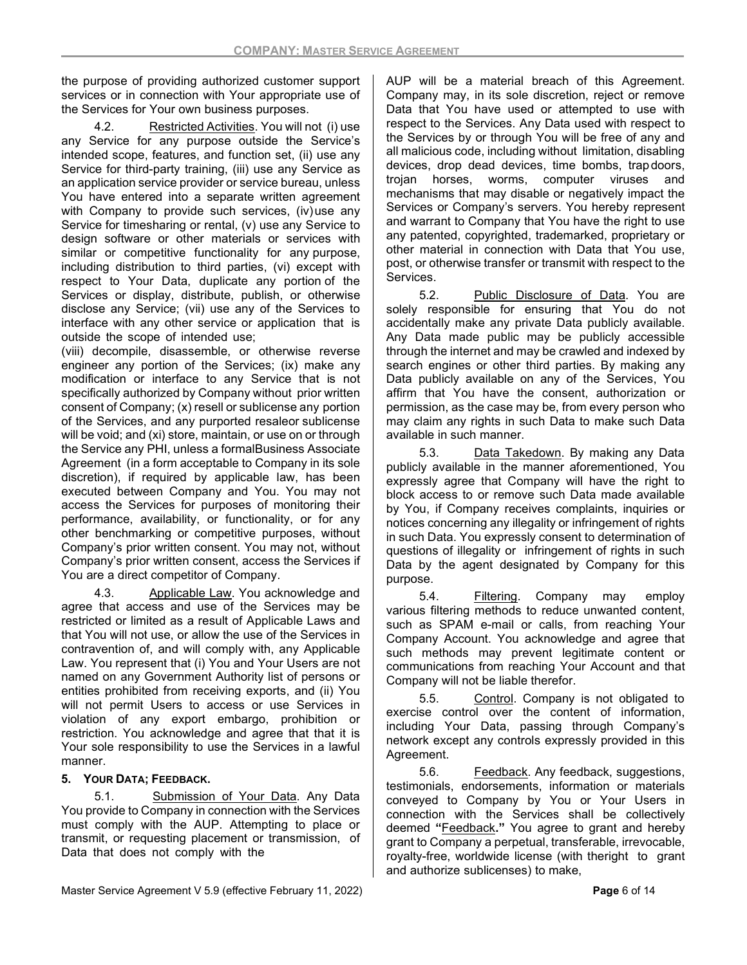the purpose of providing authorized customer support services or in connection with Your appropriate use of the Services for Your own business purposes.

4.2. Restricted Activities. You will not (i) use any Service for any purpose outside the Service's intended scope, features, and function set, (ii) use any Service for third-party training, (iii) use any Service as an application service provider or service bureau, unless You have entered into a separate written agreement with Company to provide such services, (iv) use any Service for timesharing or rental, (v) use any Service to design software or other materials or services with similar or competitive functionality for any purpose, including distribution to third parties, (vi) except with respect to Your Data, duplicate any portion of the Services or display, distribute, publish, or otherwise disclose any Service; (vii) use any of the Services to interface with any other service or application that is outside the scope of intended use;

(viii) decompile, disassemble, or otherwise reverse engineer any portion of the Services; (ix) make any modification or interface to any Service that is not specifically authorized by Company without prior written consent of Company; (x) resell or sublicense any portion of the Services, and any purported resaleor sublicense will be void; and (xi) store, maintain, or use on or through the Service any PHI, unless a formal Business Associate Agreement (in a form acceptable to Company in its sole discretion), if required by applicable law, has been executed between Company and You. You may not access the Services for purposes of monitoring their performance, availability, or functionality, or for any other benchmarking or competitive purposes, without Company's prior written consent. You may not, without Company's prior written consent, access the Services if You are a direct competitor of Company.

4.3. Applicable Law. You acknowledge and agree that access and use of the Services may be restricted or limited as a result of Applicable Laws and that You will not use, or allow the use of the Services in contravention of, and will comply with, any Applicable Law. You represent that (i) You and Your Users are not named on any Government Authority list of persons or entities prohibited from receiving exports, and (ii) You will not permit Users to access or use Services in violation of any export embargo, prohibition or restriction. You acknowledge and agree that that it is Your sole responsibility to use the Services in a lawful manner.

# 5. YOUR DATA; FEEDBACK.

5.1. Submission of Your Data. Any Data You provide to Company in connection with the Services must comply with the AUP. Attempting to place or transmit, or requesting placement or transmission, of Data that does not comply with the

AUP will be a material breach of this Agreement. Company may, in its sole discretion, reject or remove Data that You have used or attempted to use with respect to the Services. Any Data used with respect to the Services by or through You will be free of any and all malicious code, including without limitation, disabling devices, drop dead devices, time bombs, trap doors, trojan horses, worms, computer viruses and mechanisms that may disable or negatively impact the Services or Company's servers. You hereby represent and warrant to Company that You have the right to use any patented, copyrighted, trademarked, proprietary or other material in connection with Data that You use, post, or otherwise transfer or transmit with respect to the Services.

5.2. Public Disclosure of Data. You are solely responsible for ensuring that You do not accidentally make any private Data publicly available. Any Data made public may be publicly accessible through the internet and may be crawled and indexed by search engines or other third parties. By making any Data publicly available on any of the Services, You affirm that You have the consent, authorization or permission, as the case may be, from every person who may claim any rights in such Data to make such Data available in such manner.

5.3. Data Takedown. By making any Data publicly available in the manner aforementioned, You expressly agree that Company will have the right to block access to or remove such Data made available by You, if Company receives complaints, inquiries or notices concerning any illegality or infringement of rights in such Data. You expressly consent to determination of questions of illegality or infringement of rights in such Data by the agent designated by Company for this purpose.

5.4. Filtering. Company may employ various filtering methods to reduce unwanted content, such as SPAM e-mail or calls, from reaching Your Company Account. You acknowledge and agree that such methods may prevent legitimate content or communications from reaching Your Account and that Company will not be liable therefor.

5.5. Control. Company is not obligated to exercise control over the content of information, including Your Data, passing through Company's network except any controls expressly provided in this Agreement.

5.6. Feedback. Any feedback, suggestions, testimonials, endorsements, information or materials conveyed to Company by You or Your Users in connection with the Services shall be collectively deemed "Feedback." You agree to grant and hereby grant to Company a perpetual, transferable, irrevocable, royalty-free, worldwide license (with the right to grant and authorize sublicenses) to make,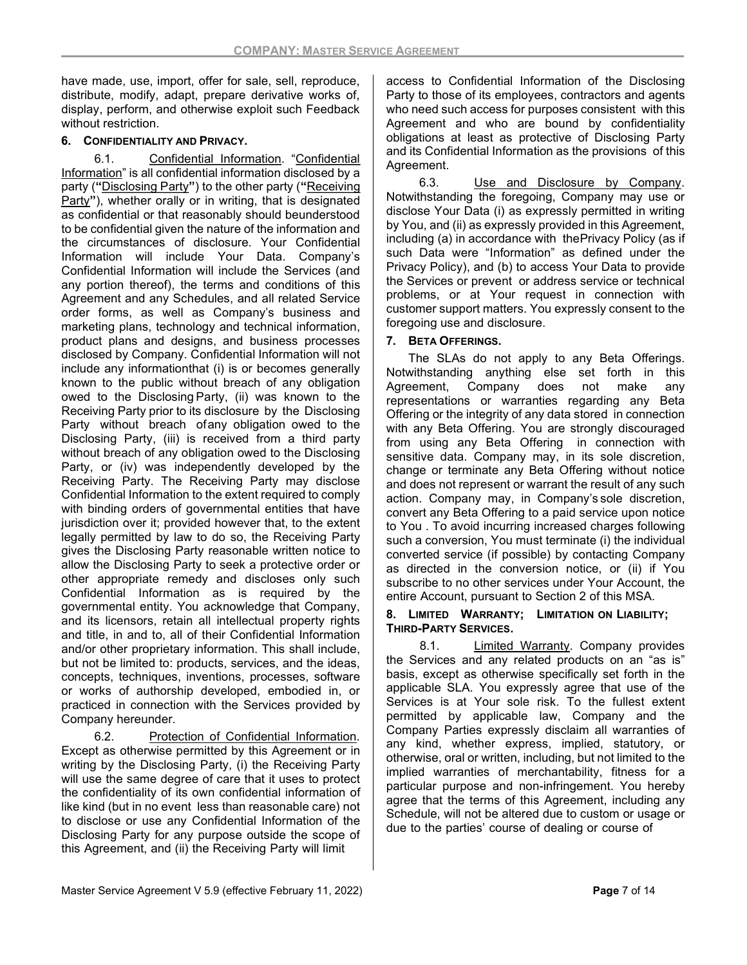have made, use, import, offer for sale, sell, reproduce, distribute, modify, adapt, prepare derivative works of, display, perform, and otherwise exploit such Feedback without restriction.

# 6. CONFIDENTIALITY AND PRIVACY.

6.1. Confidential Information. "Confidential Information" is all confidential information disclosed by a party ("Disclosing Party") to the other party ("Receiving Party"), whether orally or in writing, that is designated as confidential or that reasonably should beunderstood to be confidential given the nature of the information and the circumstances of disclosure. Your Confidential Information will include Your Data. Company's Confidential Information will include the Services (and any portion thereof), the terms and conditions of this Agreement and any Schedules, and all related Service order forms, as well as Company's business and marketing plans, technology and technical information, product plans and designs, and business processes disclosed by Company. Confidential Information will not include any information that (i) is or becomes generally known to the public without breach of any obligation owed to the Disclosing Party, (ii) was known to the Receiving Party prior to its disclosure by the Disclosing Party without breach of any obligation owed to the Disclosing Party, (iii) is received from a third party without breach of any obligation owed to the Disclosing Party, or (iv) was independently developed by the Receiving Party. The Receiving Party may disclose Confidential Information to the extent required to comply with binding orders of governmental entities that have jurisdiction over it; provided however that, to the extent legally permitted by law to do so, the Receiving Party gives the Disclosing Party reasonable written notice to allow the Disclosing Party to seek a protective order or other appropriate remedy and discloses only such Confidential Information as is required by the governmental entity. You acknowledge that Company, and its licensors, retain all intellectual property rights and title, in and to, all of their Confidential Information and/or other proprietary information. This shall include, but not be limited to: products, services, and the ideas, concepts, techniques, inventions, processes, software or works of authorship developed, embodied in, or practiced in connection with the Services provided by Company hereunder.

6.2. Protection of Confidential Information. Except as otherwise permitted by this Agreement or in writing by the Disclosing Party, (i) the Receiving Party will use the same degree of care that it uses to protect the confidentiality of its own confidential information of like kind (but in no event less than reasonable care) not to disclose or use any Confidential Information of the Disclosing Party for any purpose outside the scope of this Agreement, and (ii) the Receiving Party will limit

access to Confidential Information of the Disclosing Party to those of its employees, contractors and agents who need such access for purposes consistent with this Agreement and who are bound by confidentiality obligations at least as protective of Disclosing Party and its Confidential Information as the provisions of this Agreement.

6.3. Use and Disclosure by Company. Notwithstanding the foregoing, Company may use or disclose Your Data (i) as expressly permitted in writing by You, and (ii) as expressly provided in this Agreement, including (a) in accordance with the Privacy Policy (as if such Data were "Information" as defined under the Privacy Policy), and (b) to access Your Data to provide the Services or prevent or address service or technical problems, or at Your request in connection with customer support matters. You expressly consent to the foregoing use and disclosure.

# 7. BETA OFFERINGS.

The SLAs do not apply to any Beta Offerings. Notwithstanding anything else set forth in this Agreement, Company does not make any representations or warranties regarding any Beta Offering or the integrity of any data stored in connection with any Beta Offering. You are strongly discouraged from using any Beta Offering in connection with sensitive data. Company may, in its sole discretion, change or terminate any Beta Offering without notice and does not represent or warrant the result of any such action. Company may, in Company's sole discretion, convert any Beta Offering to a paid service upon notice to You . To avoid incurring increased charges following such a conversion, You must terminate (i) the individual converted service (if possible) by contacting Company as directed in the conversion notice, or (ii) if You subscribe to no other services under Your Account, the entire Account, pursuant to Section 2 of this MSA.

### 8. LIMITED WARRANTY; LIMITATION ON LIABILITY; THIRD-PARTY SERVICES.

8.1. Limited Warranty. Company provides the Services and any related products on an "as is" basis, except as otherwise specifically set forth in the applicable SLA. You expressly agree that use of the Services is at Your sole risk. To the fullest extent permitted by applicable law, Company and the Company Parties expressly disclaim all warranties of any kind, whether express, implied, statutory, or otherwise, oral or written, including, but not limited to the implied warranties of merchantability, fitness for a particular purpose and non-infringement. You hereby agree that the terms of this Agreement, including any Schedule, will not be altered due to custom or usage or due to the parties' course of dealing or course of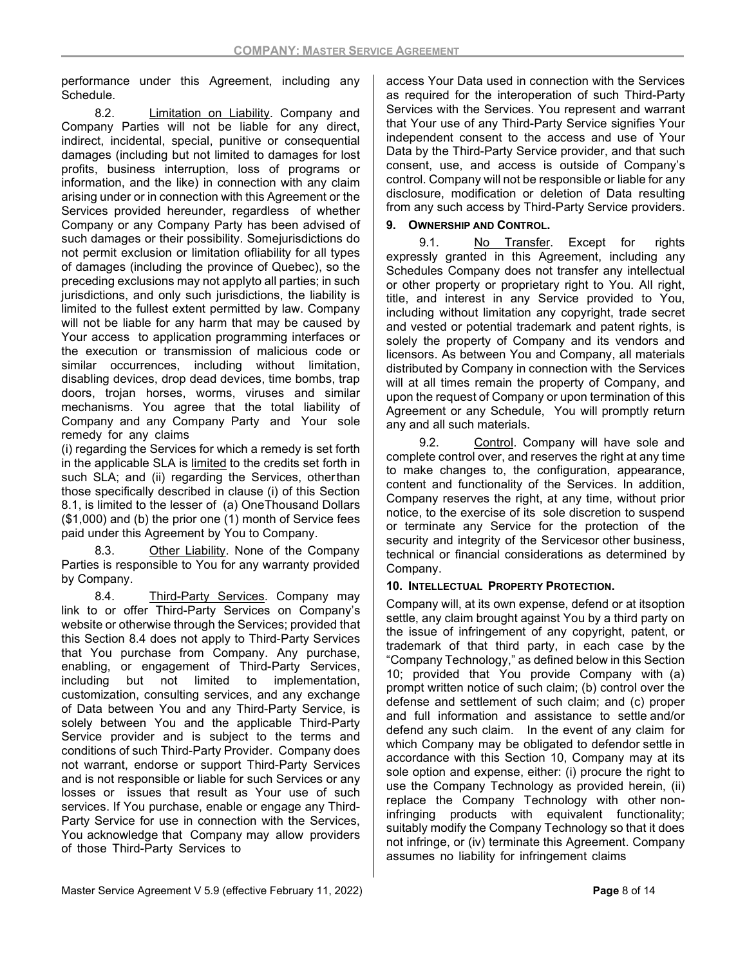performance under this Agreement, including any Schedule.

8.2. **Limitation on Liability. Company and** Company Parties will not be liable for any direct, indirect, incidental, special, punitive or consequential damages (including but not limited to damages for lost profits, business interruption, loss of programs or information, and the like) in connection with any claim arising under or in connection with this Agreement or the Services provided hereunder, regardless of whether Company or any Company Party has been advised of such damages or their possibility. Somejurisdictions do not permit exclusion or limitation of liability for all types of damages (including the province of Quebec), so the preceding exclusions may not applyto all parties; in such jurisdictions, and only such jurisdictions, the liability is limited to the fullest extent permitted by law. Company will not be liable for any harm that may be caused by Your access to application programming interfaces or the execution or transmission of malicious code or similar occurrences, including without limitation, disabling devices, drop dead devices, time bombs, trap doors, trojan horses, worms, viruses and similar mechanisms. You agree that the total liability of Company and any Company Party and Your sole remedy for any claims

(i) regarding the Services for which a remedy is set forth in the applicable SLA is limited to the credits set forth in such SLA; and (ii) regarding the Services, other than those specifically described in clause (i) of this Section 8.1, is limited to the lesser of (a) One Thousand Dollars (\$1,000) and (b) the prior one (1) month of Service fees paid under this Agreement by You to Company.

8.3. Other Liability. None of the Company Parties is responsible to You for any warranty provided by Company.

8.4. Third-Party Services. Company may link to or offer Third-Party Services on Company's website or otherwise through the Services; provided that this Section 8.4 does not apply to Third-Party Services that You purchase from Company. Any purchase, enabling, or engagement of Third-Party Services, including but not limited to implementation, customization, consulting services, and any exchange of Data between You and any Third-Party Service, is solely between You and the applicable Third-Party Service provider and is subject to the terms and conditions of such Third-Party Provider. Company does not warrant, endorse or support Third-Party Services and is not responsible or liable for such Services or any losses or issues that result as Your use of such services. If You purchase, enable or engage any Third-Party Service for use in connection with the Services, You acknowledge that Company may allow providers of those Third-Party Services to

access Your Data used in connection with the Services as required for the interoperation of such Third-Party Services with the Services. You represent and warrant that Your use of any Third-Party Service signifies Your independent consent to the access and use of Your Data by the Third-Party Service provider, and that such consent, use, and access is outside of Company's control. Company will not be responsible or liable for any disclosure, modification or deletion of Data resulting from any such access by Third-Party Service providers.

## 9. OWNERSHIP AND CONTROL.

9.1. No Transfer. Except for rights expressly granted in this Agreement, including any Schedules Company does not transfer any intellectual or other property or proprietary right to You. All right, title, and interest in any Service provided to You, including without limitation any copyright, trade secret and vested or potential trademark and patent rights, is solely the property of Company and its vendors and licensors. As between You and Company, all materials distributed by Company in connection with the Services will at all times remain the property of Company, and upon the request of Company or upon termination of this Agreement or any Schedule, You will promptly return any and all such materials.

9.2. Control. Company will have sole and complete control over, and reserves the right at any time to make changes to, the configuration, appearance, content and functionality of the Services. In addition, Company reserves the right, at any time, without prior notice, to the exercise of its sole discretion to suspend or terminate any Service for the protection of the security and integrity of the Services or other business, technical or financial considerations as determined by Company.

# 10. INTELLECTUAL PROPERTY PROTECTION.

Company will, at its own expense, defend or at its option settle, any claim brought against You by a third party on the issue of infringement of any copyright, patent, or trademark of that third party, in each case by the "Company Technology," as defined below in this Section 10; provided that You provide Company with (a) prompt written notice of such claim; (b) control over the defense and settlement of such claim; and (c) proper and full information and assistance to settle and/or defend any such claim. In the event of any claim for which Company may be obligated to defendor settle in accordance with this Section 10, Company may at its sole option and expense, either: (i) procure the right to use the Company Technology as provided herein, (ii) replace the Company Technology with other noninfringing products with equivalent functionality; suitably modify the Company Technology so that it does not infringe, or (iv) terminate this Agreement. Company assumes no liability for infringement claims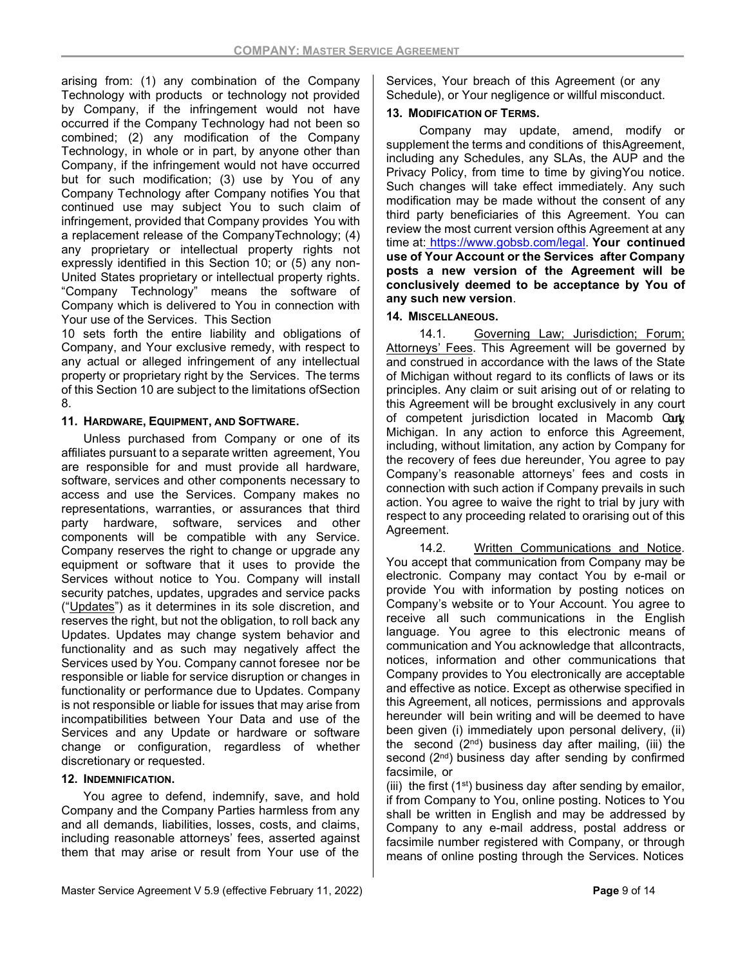arising from: (1) any combination of the Company Technology with products or technology not provided by Company, if the infringement would not have occurred if the Company Technology had not been so combined; (2) any modification of the Company Technology, in whole or in part, by anyone other than Company, if the infringement would not have occurred but for such modification; (3) use by You of any Company Technology after Company notifies You that continued use may subject You to such claim of infringement, provided that Company provides You with a replacement release of the Company Technology; (4) any proprietary or intellectual property rights not expressly identified in this Section 10; or (5) any non-United States proprietary or intellectual property rights. "Company Technology" means the software of Company which is delivered to You in connection with Your use of the Services. This Section

10 sets forth the entire liability and obligations of Company, and Your exclusive remedy, with respect to any actual or alleged infringement of any intellectual property or proprietary right by the Services. The terms of this Section 10 are subject to the limitations of Section 8.

### 11. HARDWARE, EQUIPMENT, AND SOFTWARE.

Unless purchased from Company or one of its affiliates pursuant to a separate written agreement, You are responsible for and must provide all hardware, software, services and other components necessary to access and use the Services. Company makes no representations, warranties, or assurances that third party hardware, software, services and other components will be compatible with any Service. Company reserves the right to change or upgrade any equipment or software that it uses to provide the Services without notice to You. Company will install security patches, updates, upgrades and service packs ("Updates") as it determines in its sole discretion, and reserves the right, but not the obligation, to roll back any Updates. Updates may change system behavior and functionality and as such may negatively affect the Services used by You. Company cannot foresee nor be responsible or liable for service disruption or changes in functionality or performance due to Updates. Company is not responsible or liable for issues that may arise from incompatibilities between Your Data and use of the Services and any Update or hardware or software change or configuration, regardless of whether discretionary or requested.

### 12. INDEMNIFICATION.

You agree to defend, indemnify, save, and hold Company and the Company Parties harmless from any and all demands, liabilities, losses, costs, and claims, including reasonable attorneys' fees, asserted against them that may arise or result from Your use of the

Services, Your breach of this Agreement (or any Schedule), or Your negligence or willful misconduct.

### 13. MODIFICATION OF TERMS.

Company may update, amend, modify or supplement the terms and conditions of this Agreement, including any Schedules, any SLAs, the AUP and the Privacy Policy, from time to time by giving You notice. Such changes will take effect immediately. Any such modification may be made without the consent of any third party beneficiaries of this Agreement. You can review the most current version of this Agreement at any time at: https://www.gobsb.com/legal. Your continued use of Your Account or the Services after Company posts a new version of the Agreement will be conclusively deemed to be acceptance by You of any such new version.

# 14. MISCELLANEOUS.

14.1. Governing Law; Jurisdiction; Forum; Attorneys' Fees. This Agreement will be governed by and construed in accordance with the laws of the State of Michigan without regard to its conflicts of laws or its principles. Any claim or suit arising out of or relating to this Agreement will be brought exclusively in any court of competent jurisdiction located in Macomb Cont Michigan. In any action to enforce this Agreement, including, without limitation, any action by Company for the recovery of fees due hereunder, You agree to pay Company's reasonable attorneys' fees and costs in connection with such action if Company prevails in such action. You agree to waive the right to trial by jury with respect to any proceeding related to orarising out of this Agreement.

14.2. Written Communications and Notice. You accept that communication from Company may be electronic. Company may contact You by e-mail or provide You with information by posting notices on Company's website or to Your Account. You agree to receive all such communications in the English language. You agree to this electronic means of communication and You acknowledge that all contracts, notices, information and other communications that Company provides to You electronically are acceptable and effective as notice. Except as otherwise specified in this Agreement, all notices, permissions and approvals hereunder will bein writing and will be deemed to have been given (i) immediately upon personal delivery, (ii) the second  $(2<sup>nd</sup>)$  business day after mailing, (iii) the second (2<sup>nd</sup>) business day after sending by confirmed facsimile, or

(iii) the first  $(1^{st})$  business day after sending by emailor, if from Company to You, online posting. Notices to You shall be written in English and may be addressed by Company to any e-mail address, postal address or facsimile number registered with Company, or through means of online posting through the Services. Notices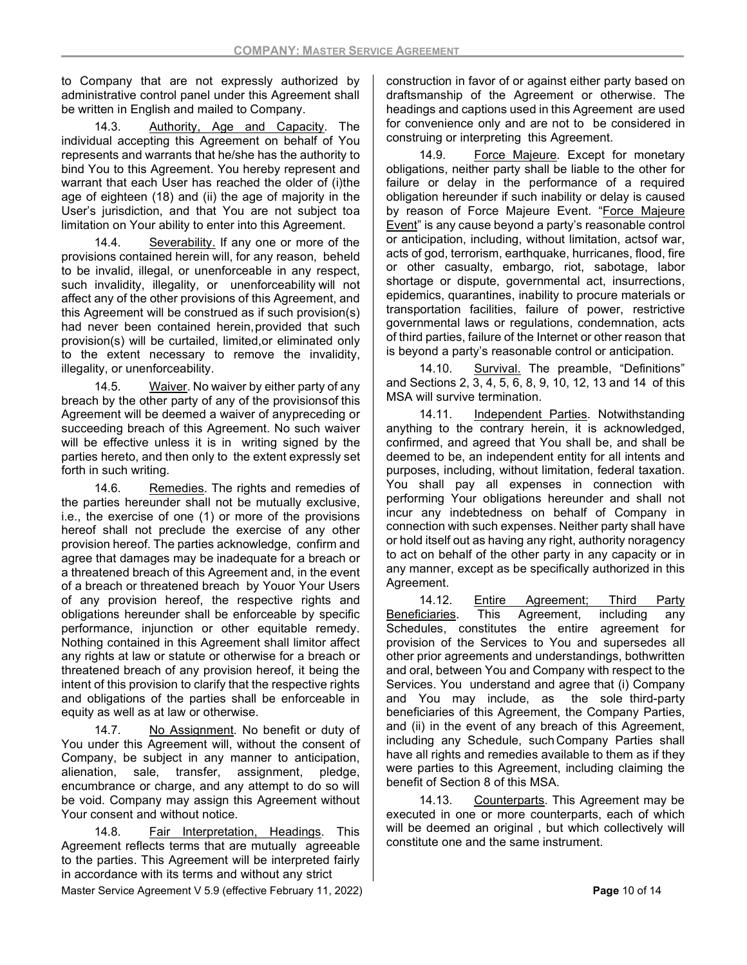to Company that are not expressly authorized by administrative control panel under this Agreement shall be written in English and mailed to Company.

14.3. Authority, Age and Capacity. The individual accepting this Agreement on behalf of You represents and warrants that he/she has the authority to bind You to this Agreement. You hereby represent and warrant that each User has reached the older of (i) the age of eighteen (18) and (ii) the age of majority in the User's jurisdiction, and that You are not subject to a limitation on Your ability to enter into this Agreement.

14.4. Severability. If any one or more of the provisions contained herein will, for any reason, beheld to be invalid, illegal, or unenforceable in any respect, such invalidity, illegality, or unenforceability will not affect any of the other provisions of this Agreement, and this Agreement will be construed as if such provision(s) had never been contained herein, provided that such provision(s) will be curtailed, limited, or eliminated only to the extent necessary to remove the invalidity, illegality, or unenforceability.

14.5. Waiver. No waiver by either party of any breach by the other party of any of the provisions of this Agreement will be deemed a waiver of any preceding or succeeding breach of this Agreement. No such waiver will be effective unless it is in writing signed by the parties hereto, and then only to the extent expressly set forth in such writing.

14.6. Remedies. The rights and remedies of the parties hereunder shall not be mutually exclusive, i.e., the exercise of one (1) or more of the provisions hereof shall not preclude the exercise of any other provision hereof. The parties acknowledge, confirm and agree that damages may be inadequate for a breach or a threatened breach of this Agreement and, in the event of a breach or threatened breach by Youor Your Users of any provision hereof, the respective rights and obligations hereunder shall be enforceable by specific performance, injunction or other equitable remedy. Nothing contained in this Agreement shall limitor affect any rights at law or statute or otherwise for a breach or threatened breach of any provision hereof, it being the intent of this provision to clarify that the respective rights and obligations of the parties shall be enforceable in equity as well as at law or otherwise.

14.7. No Assignment. No benefit or duty of You under this Agreement will, without the consent of Company, be subject in any manner to anticipation, alienation, sale, transfer, assignment, pledge, encumbrance or charge, and any attempt to do so will be void. Company may assign this Agreement without Your consent and without notice.

Master Service Agreement V 5.9 (effective February 11, 2022) **Page 10 of 14** Page 10 of 14 14.8. Fair Interpretation, Headings. This Agreement reflects terms that are mutually agreeable to the parties. This Agreement will be interpreted fairly in accordance with its terms and without any strict

construction in favor of or against either party based on draftsmanship of the Agreement or otherwise. The headings and captions used in this Agreement are used for convenience only and are not to be considered in construing or interpreting this Agreement.

14.9. Force Majeure. Except for monetary obligations, neither party shall be liable to the other for failure or delay in the performance of a required obligation hereunder if such inability or delay is caused by reason of Force Majeure Event. "Force Majeure Event" is any cause beyond a party's reasonable control or anticipation, including, without limitation, actsof war, acts of god, terrorism, earthquake, hurricanes, flood, fire or other casualty, embargo, riot, sabotage, labor shortage or dispute, governmental act, insurrections, epidemics, quarantines, inability to procure materials or transportation facilities, failure of power, restrictive governmental laws or regulations, condemnation, acts of third parties, failure of the Internet or other reason that is beyond a party's reasonable control or anticipation.

14.10. Survival. The preamble, "Definitions" and Sections 2, 3, 4, 5, 6, 8, 9, 10, 12, 13 and 14 of this MSA will survive termination.

14.11. Independent Parties. Notwithstanding anything to the contrary herein, it is acknowledged, confirmed, and agreed that You shall be, and shall be deemed to be, an independent entity for all intents and purposes, including, without limitation, federal taxation. You shall pay all expenses in connection with performing Your obligations hereunder and shall not incur any indebtedness on behalf of Company in connection with such expenses. Neither party shall have or hold itself out as having any right, authority nor agency to act on behalf of the other party in any capacity or in any manner, except as be specifically authorized in this Agreement.

14.12. Entire Agreement; Third Party Beneficiaries. This Agreement, including any Schedules, constitutes the entire agreement for provision of the Services to You and supersedes all other prior agreements and understandings, bothwritten and oral, between You and Company with respect to the Services. You understand and agree that (i) Company and You may include, as the sole third-party beneficiaries of this Agreement, the Company Parties, and (ii) in the event of any breach of this Agreement, including any Schedule, such Company Parties shall have all rights and remedies available to them as if they were parties to this Agreement, including claiming the benefit of Section 8 of this MSA.

14.13. Counterparts. This Agreement may be executed in one or more counterparts, each of which will be deemed an original , but which collectively will constitute one and the same instrument.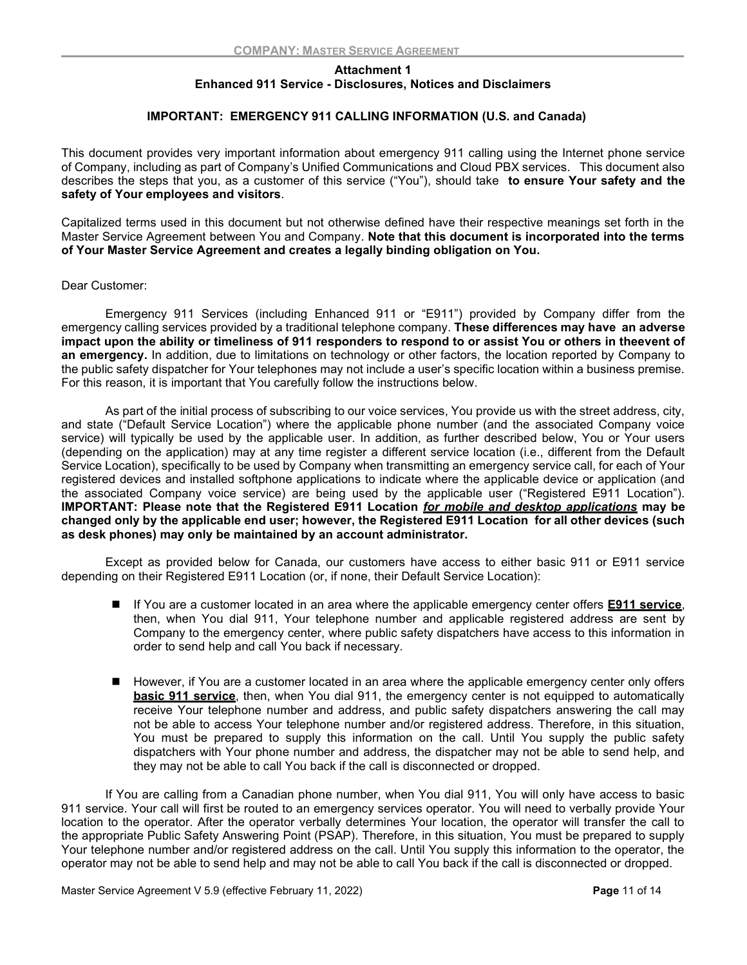### Attachment 1 Enhanced 911 Service - Disclosures, Notices and Disclaimers

### IMPORTANT: EMERGENCY 911 CALLING INFORMATION (U.S. and Canada)

This document provides very important information about emergency 911 calling using the Internet phone service of Company, including as part of Company's Unified Communications and Cloud PBX services. This document also describes the steps that you, as a customer of this service ("You"), should take to ensure Your safety and the safety of Your employees and visitors.

Capitalized terms used in this document but not otherwise defined have their respective meanings set forth in the Master Service Agreement between You and Company. Note that this document is incorporated into the terms of Your Master Service Agreement and creates a legally binding obligation on You.

Dear Customer:

Emergency 911 Services (including Enhanced 911 or "E911") provided by Company differ from the emergency calling services provided by a traditional telephone company. These differences may have an adverse impact upon the ability or timeliness of 911 responders to respond to or assist You or others in theevent of an emergency. In addition, due to limitations on technology or other factors, the location reported by Company to the public safety dispatcher for Your telephones may not include a user's specific location within a business premise. For this reason, it is important that You carefully follow the instructions below.

As part of the initial process of subscribing to our voice services, You provide us with the street address, city, and state ("Default Service Location") where the applicable phone number (and the associated Company voice service) will typically be used by the applicable user. In addition, as further described below, You or Your users (depending on the application) may at any time register a different service location (i.e., different from the Default Service Location), specifically to be used by Company when transmitting an emergency service call, for each of Your registered devices and installed softphone applications to indicate where the applicable device or application (and the associated Company voice service) are being used by the applicable user ("Registered E911 Location"). IMPORTANT: Please note that the Registered E911 Location for mobile and desktop applications may be changed only by the applicable end user; however, the Registered E911 Location for all other devices (such as desk phones) may only be maintained by an account administrator.

Except as provided below for Canada, our customers have access to either basic 911 or E911 service depending on their Registered E911 Location (or, if none, their Default Service Location):

- If You are a customer located in an area where the applicable emergency center offers **E911 service**, then, when You dial 911, Your telephone number and applicable registered address are sent by Company to the emergency center, where public safety dispatchers have access to this information in order to send help and call You back if necessary.
- However, if You are a customer located in an area where the applicable emergency center only offers **basic 911 service**, then, when You dial 911, the emergency center is not equipped to automatically receive Your telephone number and address, and public safety dispatchers answering the call may not be able to access Your telephone number and/or registered address. Therefore, in this situation, You must be prepared to supply this information on the call. Until You supply the public safety dispatchers with Your phone number and address, the dispatcher may not be able to send help, and they may not be able to call You back if the call is disconnected or dropped.

If You are calling from a Canadian phone number, when You dial 911, You will only have access to basic 911 service. Your call will first be routed to an emergency services operator. You will need to verbally provide Your location to the operator. After the operator verbally determines Your location, the operator will transfer the call to the appropriate Public Safety Answering Point (PSAP). Therefore, in this situation, You must be prepared to supply Your telephone number and/or registered address on the call. Until You supply this information to the operator, the operator may not be able to send help and may not be able to call You back if the call is disconnected or dropped.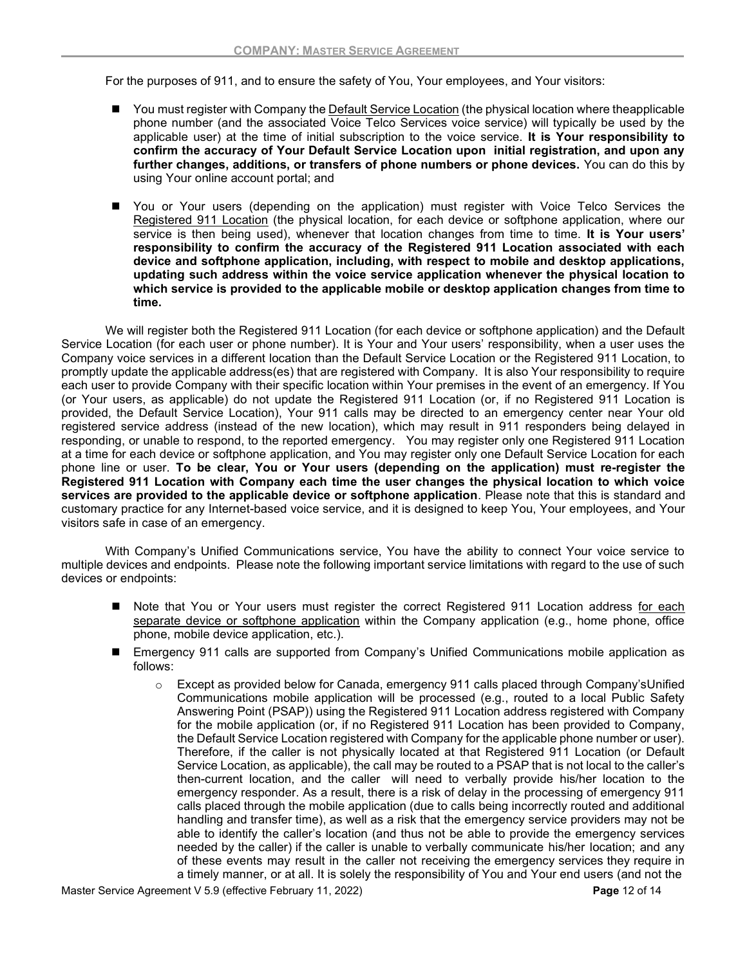For the purposes of 911, and to ensure the safety of You, Your employees, and Your visitors:

- You must register with Company the Default Service Location (the physical location where the applicable phone number (and the associated Voice Telco Services voice service) will typically be used by the applicable user) at the time of initial subscription to the voice service. It is Your responsibility to confirm the accuracy of Your Default Service Location upon initial registration, and upon any further changes, additions, or transfers of phone numbers or phone devices. You can do this by using Your online account portal; and
- You or Your users (depending on the application) must register with Voice Telco Services the Registered 911 Location (the physical location, for each device or softphone application, where our service is then being used), whenever that location changes from time to time. It is Your users' responsibility to confirm the accuracy of the Registered 911 Location associated with each device and softphone application, including, with respect to mobile and desktop applications, updating such address within the voice service application whenever the physical location to which service is provided to the applicable mobile or desktop application changes from time to time.

We will register both the Registered 911 Location (for each device or softphone application) and the Default Service Location (for each user or phone number). It is Your and Your users' responsibility, when a user uses the Company voice services in a different location than the Default Service Location or the Registered 911 Location, to promptly update the applicable address(es) that are registered with Company. It is also Your responsibility to require each user to provide Company with their specific location within Your premises in the event of an emergency. If You (or Your users, as applicable) do not update the Registered 911 Location (or, if no Registered 911 Location is provided, the Default Service Location), Your 911 calls may be directed to an emergency center near Your old registered service address (instead of the new location), which may result in 911 responders being delayed in responding, or unable to respond, to the reported emergency. You may register only one Registered 911 Location at a time for each device or softphone application, and You may register only one Default Service Location for each phone line or user. To be clear, You or Your users (depending on the application) must re-register the Registered 911 Location with Company each time the user changes the physical location to which voice services are provided to the applicable device or softphone application. Please note that this is standard and customary practice for any Internet-based voice service, and it is designed to keep You, Your employees, and Your visitors safe in case of an emergency.

With Company's Unified Communications service, You have the ability to connect Your voice service to multiple devices and endpoints. Please note the following important service limitations with regard to the use of such devices or endpoints:

- Note that You or Your users must register the correct Registered 911 Location address for each separate device or softphone application within the Company application (e.g., home phone, office phone, mobile device application, etc.).
- **Emergency 911 calls are supported from Company's Unified Communications mobile application as** follows:
	- o Except as provided below for Canada, emergency 911 calls placed through Company's Unified Communications mobile application will be processed (e.g., routed to a local Public Safety Answering Point (PSAP)) using the Registered 911 Location address registered with Company for the mobile application (or, if no Registered 911 Location has been provided to Company, the Default Service Location registered with Company for the applicable phone number or user). Therefore, if the caller is not physically located at that Registered 911 Location (or Default Service Location, as applicable), the call may be routed to a PSAP that is not local to the caller's then-current location, and the caller will need to verbally provide his/her location to the emergency responder. As a result, there is a risk of delay in the processing of emergency 911 calls placed through the mobile application (due to calls being incorrectly routed and additional handling and transfer time), as well as a risk that the emergency service providers may not be able to identify the caller's location (and thus not be able to provide the emergency services needed by the caller) if the caller is unable to verbally communicate his/her location; and any of these events may result in the caller not receiving the emergency services they require in a timely manner, or at all. It is solely the responsibility of You and Your end users (and not the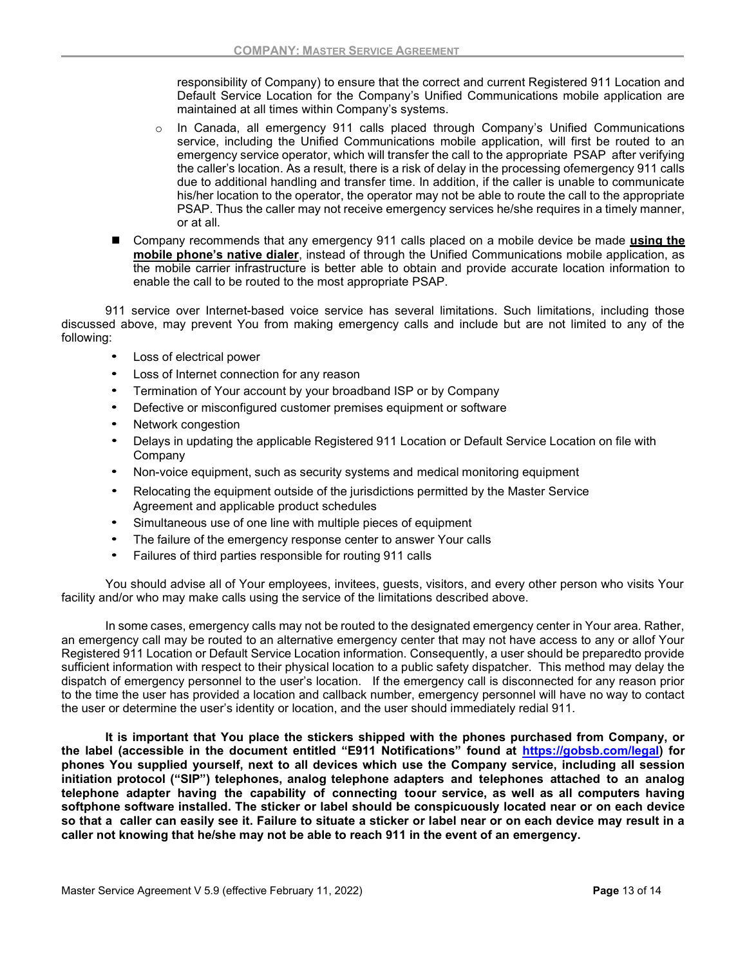responsibility of Company) to ensure that the correct and current Registered 911 Location and Default Service Location for the Company's Unified Communications mobile application are maintained at all times within Company's systems.

- o In Canada, all emergency 911 calls placed through Company's Unified Communications service, including the Unified Communications mobile application, will first be routed to an emergency service operator, which will transfer the call to the appropriate PSAP after verifying the caller's location. As a result, there is a risk of delay in the processing of emergency 911 calls due to additional handling and transfer time. In addition, if the caller is unable to communicate his/her location to the operator, the operator may not be able to route the call to the appropriate PSAP. Thus the caller may not receive emergency services he/she requires in a timely manner, or at all.
- **O** Company recommends that any emergency 911 calls placed on a mobile device be made using the mobile phone's native dialer, instead of through the Unified Communications mobile application, as the mobile carrier infrastructure is better able to obtain and provide accurate location information to enable the call to be routed to the most appropriate PSAP.

911 service over Internet-based voice service has several limitations. Such limitations, including those discussed above, may prevent You from making emergency calls and include but are not limited to any of the following:

- Loss of electrical power
- Loss of Internet connection for any reason
- Termination of Your account by your broadband ISP or by Company
- Defective or misconfigured customer premises equipment or software
- Network congestion
- Delays in updating the applicable Registered 911 Location or Default Service Location on file with Company
- Non-voice equipment, such as security systems and medical monitoring equipment
- Relocating the equipment outside of the jurisdictions permitted by the Master Service Agreement and applicable product schedules
- Simultaneous use of one line with multiple pieces of equipment
- The failure of the emergency response center to answer Your calls
- Failures of third parties responsible for routing 911 calls

You should advise all of Your employees, invitees, guests, visitors, and every other person who visits Your facility and/or who may make calls using the service of the limitations described above.

In some cases, emergency calls may not be routed to the designated emergency center in Your area. Rather, an emergency call may be routed to an alternative emergency center that may not have access to any or allof Your Registered 911 Location or Default Service Location information. Consequently, a user should be prepared to provide sufficient information with respect to their physical location to a public safety dispatcher. This method may delay the dispatch of emergency personnel to the user's location. If the emergency call is disconnected for any reason prior to the time the user has provided a location and callback number, emergency personnel will have no way to contact the user or determine the user's identity or location, and the user should immediately redial 911.

It is important that You place the stickers shipped with the phones purchased from Company, or the label (accessible in the document entitled "E911 Notifications" found at https://gobsb.com/legal) for phones You supplied yourself, next to all devices which use the Company service, including all session initiation protocol ("SIP") telephones, analog telephone adapters and telephones attached to an analog telephone adapter having the capability of connecting to our service, as well as all computers having softphone software installed. The sticker or label should be conspicuously located near or on each device so that a caller can easily see it. Failure to situate a sticker or label near or on each device may result in a caller not knowing that he/she may not be able to reach 911 in the event of an emergency.